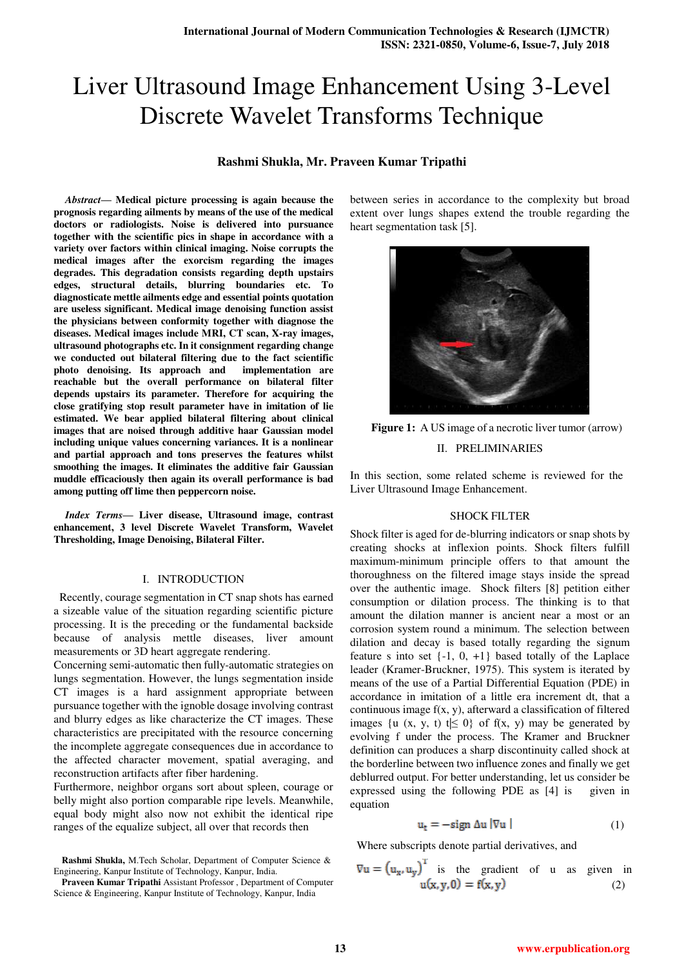# Liver Ultrasound Image Enhancement Using 3-Level Discrete Wavelet Transforms Technique

# **Rashmi Shukla, Mr. Praveen Kumar Tripathi**

*Abstract***— Medical picture processing is again because the prognosis regarding ailments by means of the use of the medical doctors or radiologists. Noise is delivered into pursuance together with the scientific pics in shape in accordance with a variety over factors within clinical imaging. Noise corrupts the medical images after the exorcism regarding the images degrades. This degradation consists regarding depth upstairs edges, structural details, blurring boundaries etc. To diagnosticate mettle ailments edge and essential points quotation are useless significant. Medical image denoising function assist the physicians between conformity together with diagnose the diseases. Medical images include MRI, CT scan, X-ray images, ultrasound photographs etc. In it consignment regarding change we conducted out bilateral filtering due to the fact scientific photo denoising. Its approach and implementation are reachable but the overall performance on bilateral filter depends upstairs its parameter. Therefore for acquiring the close gratifying stop result parameter have in imitation of lie estimated. We bear applied bilateral filtering about clinical images that are noised through additive haar Gaussian model including unique values concerning variances. It is a nonlinear and partial approach and tons preserves the features whilst smoothing the images. It eliminates the additive fair Gaussian muddle efficaciously then again its overall performance is bad among putting off lime then peppercorn noise.** 

*Index Terms***— Liver disease, Ultrasound image, contrast enhancement, 3 level Discrete Wavelet Transform, Wavelet Thresholding, Image Denoising, Bilateral Filter.** 

#### I. INTRODUCTION

 Recently, courage segmentation in CT snap shots has earned a sizeable value of the situation regarding scientific picture processing. It is the preceding or the fundamental backside because of analysis mettle diseases, liver amount measurements or 3D heart aggregate rendering.

Concerning semi-automatic then fully-automatic strategies on lungs segmentation. However, the lungs segmentation inside CT images is a hard assignment appropriate between pursuance together with the ignoble dosage involving contrast and blurry edges as like characterize the CT images. These characteristics are precipitated with the resource concerning the incomplete aggregate consequences due in accordance to the affected character movement, spatial averaging, and reconstruction artifacts after fiber hardening.

Furthermore, neighbor organs sort about spleen, courage or belly might also portion comparable ripe levels. Meanwhile, equal body might also now not exhibit the identical ripe ranges of the equalize subject, all over that records then

**Rashmi Shukla,** M.Tech Scholar, Department of Computer Science & Engineering, Kanpur Institute of Technology, Kanpur, India.

between series in accordance to the complexity but broad extent over lungs shapes extend the trouble regarding the heart segmentation task [5].



**Figure 1:** A US image of a necrotic liver tumor (arrow) II. PRELIMINARIES

In this section, some related scheme is reviewed for the Liver Ultrasound Image Enhancement.

#### SHOCK FILTER

Shock filter is aged for de-blurring indicators or snap shots by creating shocks at inflexion points. Shock filters fulfill maximum-minimum principle offers to that amount the thoroughness on the filtered image stays inside the spread over the authentic image. Shock filters [8] petition either consumption or dilation process. The thinking is to that amount the dilation manner is ancient near a most or an corrosion system round a minimum. The selection between dilation and decay is based totally regarding the signum feature s into set  $\{-1, 0, +1\}$  based totally of the Laplace leader (Kramer-Bruckner, 1975). This system is iterated by means of the use of a Partial Differential Equation (PDE) in accordance in imitation of a little era increment dt, that a continuous image f(x, y), afterward a classification of filtered images {u (x, y, t) t|  $\leq 0$ } of f(x, y) may be generated by evolving f under the process. The Kramer and Bruckner definition can produces a sharp discontinuity called shock at the borderline between two influence zones and finally we get deblurred output. For better understanding, let us consider be expressed using the following PDE as [4] is given in equation

$$
\mathbf{u_t} = -\mathbf{sign} \, \Delta \mathbf{u} \, |\nabla \mathbf{u}| \tag{1}
$$

Where subscripts denote partial derivatives, and

 $\sqrt{1}$ 

$$
\nabla u = (u_x, u_y) \text{ is the gradient of } u \text{ as given in} \n u(x, y, 0) = f(x, y)
$$
\n(2)

**Praveen Kumar Tripathi** Assistant Professor , Department of Computer Science & Engineering, Kanpur Institute of Technology, Kanpur, India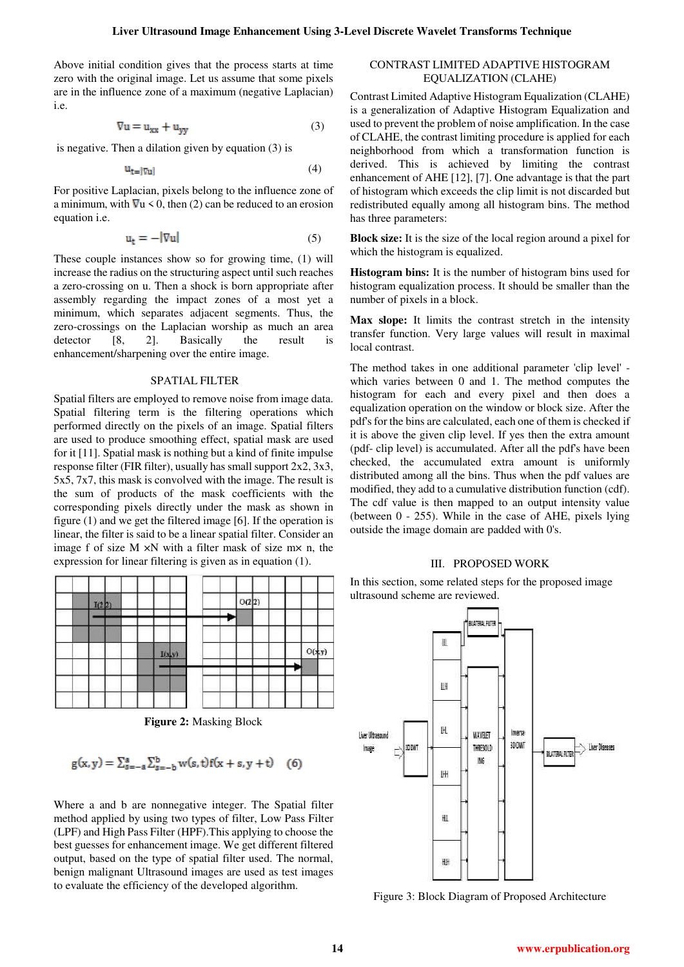Above initial condition gives that the process starts at time zero with the original image. Let us assume that some pixels are in the influence zone of a maximum (negative Laplacian) i.e.

$$
\nabla u = u_{xx} + u_{yy} \tag{3}
$$

is negative. Then a dilation given by equation (3) is

$$
\mathbf{u}_{t=|\nabla \mathbf{u}|} \tag{4}
$$

For positive Laplacian, pixels belong to the influence zone of a minimum, with  $\nabla u \leq 0$ , then (2) can be reduced to an erosion equation i.e.

$$
\mathbf{u}_{t} = -|\nabla \mathbf{u}| \tag{5}
$$

These couple instances show so for growing time, (1) will increase the radius on the structuring aspect until such reaches a zero-crossing on u. Then a shock is born appropriate after assembly regarding the impact zones of a most yet a minimum, which separates adjacent segments. Thus, the zero-crossings on the Laplacian worship as much an area detector [8, 2]. Basically the result is enhancement/sharpening over the entire image.

#### SPATIAL FILTER

Spatial filters are employed to remove noise from image data. Spatial filtering term is the filtering operations which performed directly on the pixels of an image. Spatial filters are used to produce smoothing effect, spatial mask are used for it [11]. Spatial mask is nothing but a kind of finite impulse response filter (FIR filter), usually has small support  $2x^2$ ,  $3x^3$ , 5x5, 7x7, this mask is convolved with the image. The result is the sum of products of the mask coefficients with the corresponding pixels directly under the mask as shown in figure (1) and we get the filtered image [6]. If the operation is linear, the filter is said to be a linear spatial filter. Consider an image f of size  $M \times N$  with a filter mask of size  $mx$  n, the expression for linear filtering is given as in equation (1).



**Figure 2:** Masking Block

$$
g(x, y) = \sum_{s=-a}^{a} \sum_{s=-b}^{b} w(s, t) f(x + s, y + t)
$$
 (6)

Where a and b are nonnegative integer. The Spatial filter method applied by using two types of filter, Low Pass Filter (LPF) and High Pass Filter (HPF).This applying to choose the best guesses for enhancement image. We get different filtered output, based on the type of spatial filter used. The normal, benign malignant Ultrasound images are used as test images to evaluate the efficiency of the developed algorithm.

# CONTRAST LIMITED ADAPTIVE HISTOGRAM EQUALIZATION (CLAHE)

Contrast Limited Adaptive Histogram Equalization (CLAHE) is a generalization of Adaptive Histogram Equalization and used to prevent the problem of noise amplification. In the case of CLAHE, the contrast limiting procedure is applied for each neighborhood from which a transformation function is derived. This is achieved by limiting the contrast enhancement of AHE [12], [7]. One advantage is that the part of histogram which exceeds the clip limit is not discarded but redistributed equally among all histogram bins. The method has three parameters:

**Block size:** It is the size of the local region around a pixel for which the histogram is equalized.

**Histogram bins:** It is the number of histogram bins used for histogram equalization process. It should be smaller than the number of pixels in a block.

**Max slope:** It limits the contrast stretch in the intensity transfer function. Very large values will result in maximal local contrast.

The method takes in one additional parameter 'clip level' which varies between 0 and 1. The method computes the histogram for each and every pixel and then does a equalization operation on the window or block size. After the pdf's for the bins are calculated, each one of them is checked if it is above the given clip level. If yes then the extra amount (pdf- clip level) is accumulated. After all the pdf's have been checked, the accumulated extra amount is uniformly distributed among all the bins. Thus when the pdf values are modified, they add to a cumulative distribution function (cdf). The cdf value is then mapped to an output intensity value (between 0 - 255). While in the case of AHE, pixels lying outside the image domain are padded with 0's.

#### III. PROPOSED WORK

In this section, some related steps for the proposed image ultrasound scheme are reviewed.



Figure 3: Block Diagram of Proposed Architecture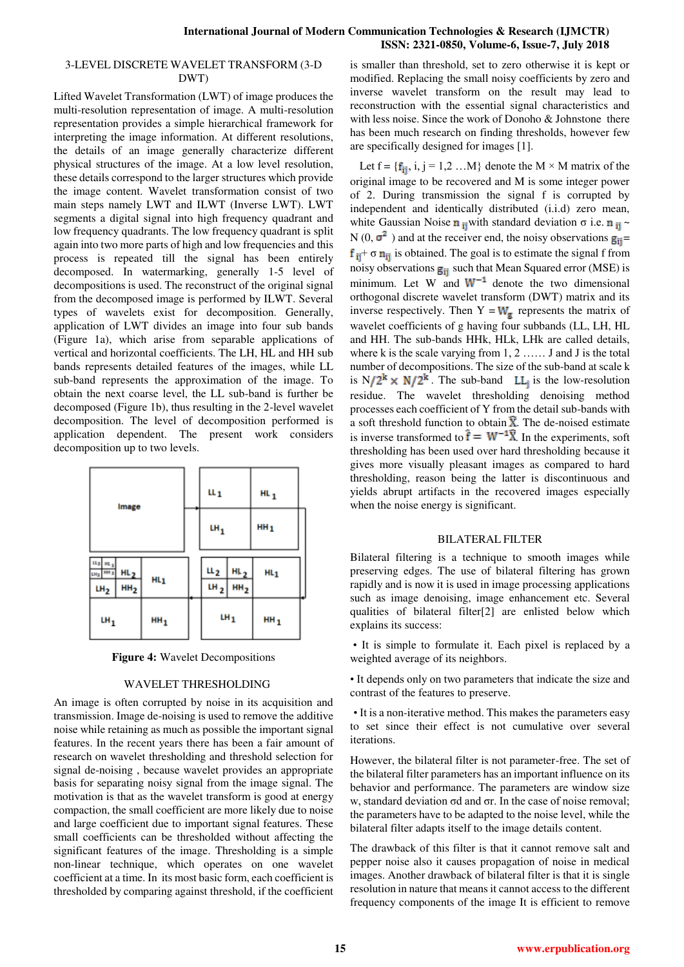## 3-LEVEL DISCRETE WAVELET TRANSFORM (3-D DWT)

Lifted Wavelet Transformation (LWT) of image produces the multi-resolution representation of image. A multi-resolution representation provides a simple hierarchical framework for interpreting the image information. At different resolutions, the details of an image generally characterize different physical structures of the image. At a low level resolution, these details correspond to the larger structures which provide the image content. Wavelet transformation consist of two main steps namely LWT and ILWT (Inverse LWT). LWT segments a digital signal into high frequency quadrant and low frequency quadrants. The low frequency quadrant is split again into two more parts of high and low frequencies and this process is repeated till the signal has been entirely decomposed. In watermarking, generally 1-5 level of decompositions is used. The reconstruct of the original signal from the decomposed image is performed by ILWT. Several types of wavelets exist for decomposition. Generally, application of LWT divides an image into four sub bands (Figure 1a), which arise from separable applications of vertical and horizontal coefficients. The LH, HL and HH sub bands represents detailed features of the images, while LL sub-band represents the approximation of the image. To obtain the next coarse level, the LL sub-band is further be decomposed (Figure 1b), thus resulting in the 2-level wavelet decomposition. The level of decomposition performed is application dependent. The present work considers decomposition up to two levels.



**Figure 4:** Wavelet Decompositions

# WAVELET THRESHOLDING

An image is often corrupted by noise in its acquisition and transmission. Image de-noising is used to remove the additive noise while retaining as much as possible the important signal features. In the recent years there has been a fair amount of research on wavelet thresholding and threshold selection for signal de-noising , because wavelet provides an appropriate basis for separating noisy signal from the image signal. The motivation is that as the wavelet transform is good at energy compaction, the small coefficient are more likely due to noise and large coefficient due to important signal features. These small coefficients can be thresholded without affecting the significant features of the image. Thresholding is a simple non-linear technique, which operates on one wavelet coefficient at a time. In its most basic form, each coefficient is thresholded by comparing against threshold, if the coefficient is smaller than threshold, set to zero otherwise it is kept or modified. Replacing the small noisy coefficients by zero and inverse wavelet transform on the result may lead to reconstruction with the essential signal characteristics and with less noise. Since the work of Donoho & Johnstone there has been much research on finding thresholds, however few are specifically designed for images [1].

Let  $f = \{f_{ij}, i, j = 1,2 \dots M\}$  denote the  $M \times M$  matrix of the original image to be recovered and M is some integer power of 2. During transmission the signal f is corrupted by independent and identically distributed (i.i.d) zero mean, white Gaussian Noise  $\mathbf{n}_{\text{ii}}$  with standard deviation  $\sigma$  i.e.  $\mathbf{n}_{\text{ii}}$ N (0,  $\sigma^2$ ) and at the receiver end, the noisy observations  $g_{ij}$ =  $f_{ii}$  +  $\sigma$   $n_{ii}$  is obtained. The goal is to estimate the signal f from noisy observations  $g_{ii}$  such that Mean Squared error (MSE) is minimum. Let  $W$  and  $W^{-1}$  denote the two dimensional orthogonal discrete wavelet transform (DWT) matrix and its inverse respectively. Then  $Y = W_g$  represents the matrix of wavelet coefficients of g having four subbands (LL, LH, HL and HH. The sub-bands HHk, HLk, LHk are called details, where k is the scale varying from 1, 2 …… J and J is the total number of decompositions. The size of the sub-band at scale k is  $N/2^k \times N/2^k$ . The sub-band LL<sub>i</sub> is the low-resolution residue. The wavelet thresholding denoising method processes each coefficient of Y from the detail sub-bands with a soft threshold function to obtain  $\hat{\mathbf{X}}$ . The de-noised estimate is inverse transformed to  $\hat{f} = W^{-1}\hat{X}$ . In the experiments, soft thresholding has been used over hard thresholding because it gives more visually pleasant images as compared to hard thresholding, reason being the latter is discontinuous and yields abrupt artifacts in the recovered images especially when the noise energy is significant.

# BILATERAL FILTER

Bilateral filtering is a technique to smooth images while preserving edges. The use of bilateral filtering has grown rapidly and is now it is used in image processing applications such as image denoising, image enhancement etc. Several qualities of bilateral filter[2] are enlisted below which explains its success:

• It is simple to formulate it. Each pixel is replaced by a weighted average of its neighbors.

• It depends only on two parameters that indicate the size and contrast of the features to preserve.

 • It is a non-iterative method. This makes the parameters easy to set since their effect is not cumulative over several iterations.

However, the bilateral filter is not parameter-free. The set of the bilateral filter parameters has an important influence on its behavior and performance. The parameters are window size w, standard deviation σd and σr. In the case of noise removal; the parameters have to be adapted to the noise level, while the bilateral filter adapts itself to the image details content.

The drawback of this filter is that it cannot remove salt and pepper noise also it causes propagation of noise in medical images. Another drawback of bilateral filter is that it is single resolution in nature that means it cannot access to the different frequency components of the image It is efficient to remove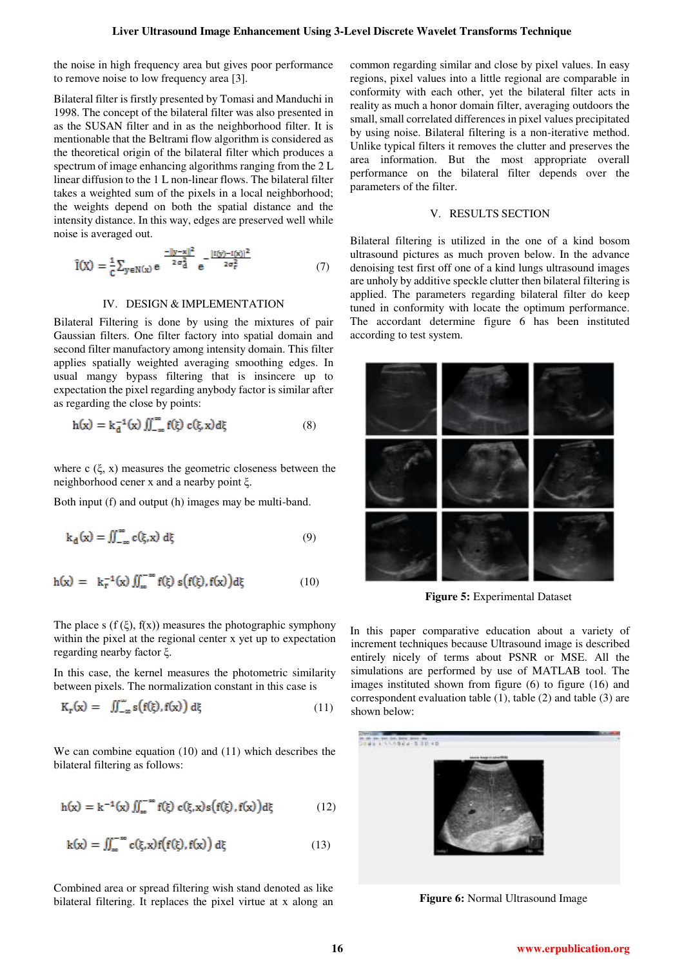the noise in high frequency area but gives poor performance to remove noise to low frequency area [3].

Bilateral filter is firstly presented by Tomasi and Manduchi in 1998. The concept of the bilateral filter was also presented in as the SUSAN filter and in as the neighborhood filter. It is mentionable that the Beltrami flow algorithm is considered as the theoretical origin of the bilateral filter which produces a spectrum of image enhancing algorithms ranging from the 2 L linear diffusion to the 1 L non-linear flows. The bilateral filter takes a weighted sum of the pixels in a local neighborhood; the weights depend on both the spatial distance and the intensity distance. In this way, edges are preserved well while noise is averaged out.

$$
\hat{I}(X) = \frac{1}{c} \sum_{y \in N(x)} e^{-\frac{||y - x||^2}{2\sigma_d^2}} e^{-\frac{|I(y) - I(x)|^2}{2\sigma_r^2}} \tag{7}
$$

#### IV. DESIGN & IMPLEMENTATION

Bilateral Filtering is done by using the mixtures of pair Gaussian filters. One filter factory into spatial domain and second filter manufactory among intensity domain. This filter applies spatially weighted averaging smoothing edges. In usual mangy bypass filtering that is insincere up to expectation the pixel regarding anybody factor is similar after as regarding the close by points:

$$
h(x) = k_d^{-1}(x) \iint_{-\infty}^{\infty} f(\xi) c(\xi, x) d\xi
$$
 (8)

where  $c$  ( $\xi$ ,  $x$ ) measures the geometric closeness between the neighborhood cener x and a nearby point ξ.

Both input (f) and output (h) images may be multi-band.

$$
k_{d}(x) = \iint_{-\infty}^{\infty} c(\xi, x) d\xi
$$
 (9)

$$
h(x) = k_T^{-1}(x) \iint_{\infty}^{-\infty} f(\xi) s(f(\xi), f(x)) d\xi
$$
 (10)

The place s ( $f(\xi)$ ,  $f(x)$ ) measures the photographic symphony within the pixel at the regional center x yet up to expectation regarding nearby factor ξ.

In this case, the kernel measures the photometric similarity between pixels. The normalization constant in this case is

$$
K_{\mathbf{r}}(\mathbf{x}) = \iint_{-\infty}^{\infty} \mathbf{s} \big( \mathbf{f}(\xi), \mathbf{f}(\mathbf{x}) \big) \, d\xi \tag{11}
$$

We can combine equation (10) and (11) which describes the bilateral filtering as follows:

$$
h(x) = k^{-1}(x) \iint_{-\infty}^{\infty} f(\xi) c(\xi, x) s(f(\xi), f(x)) d\xi
$$
 (12)

$$
k(x) = \iint_{\infty}^{\infty} c(\xi, x) f(f(\xi), f(x)) d\xi
$$
 (13)

Combined area or spread filtering wish stand denoted as like bilateral filtering. It replaces the pixel virtue at x along an common regarding similar and close by pixel values. In easy regions, pixel values into a little regional are comparable in conformity with each other, yet the bilateral filter acts in reality as much a honor domain filter, averaging outdoors the small, small correlated differences in pixel values precipitated by using noise. Bilateral filtering is a non-iterative method. Unlike typical filters it removes the clutter and preserves the area information. But the most appropriate overall performance on the bilateral filter depends over the parameters of the filter.

## V. RESULTS SECTION

Bilateral filtering is utilized in the one of a kind bosom ultrasound pictures as much proven below. In the advance denoising test first off one of a kind lungs ultrasound images are unholy by additive speckle clutter then bilateral filtering is applied. The parameters regarding bilateral filter do keep tuned in conformity with locate the optimum performance. The accordant determine figure 6 has been instituted according to test system.



**Figure 5:** Experimental Dataset

In this paper comparative education about a variety of increment techniques because Ultrasound image is described entirely nicely of terms about PSNR or MSE. All the simulations are performed by use of MATLAB tool. The images instituted shown from figure (6) to figure (16) and correspondent evaluation table (1), table (2) and table (3) are shown below:



 **Figure 6:** Normal Ultrasound Image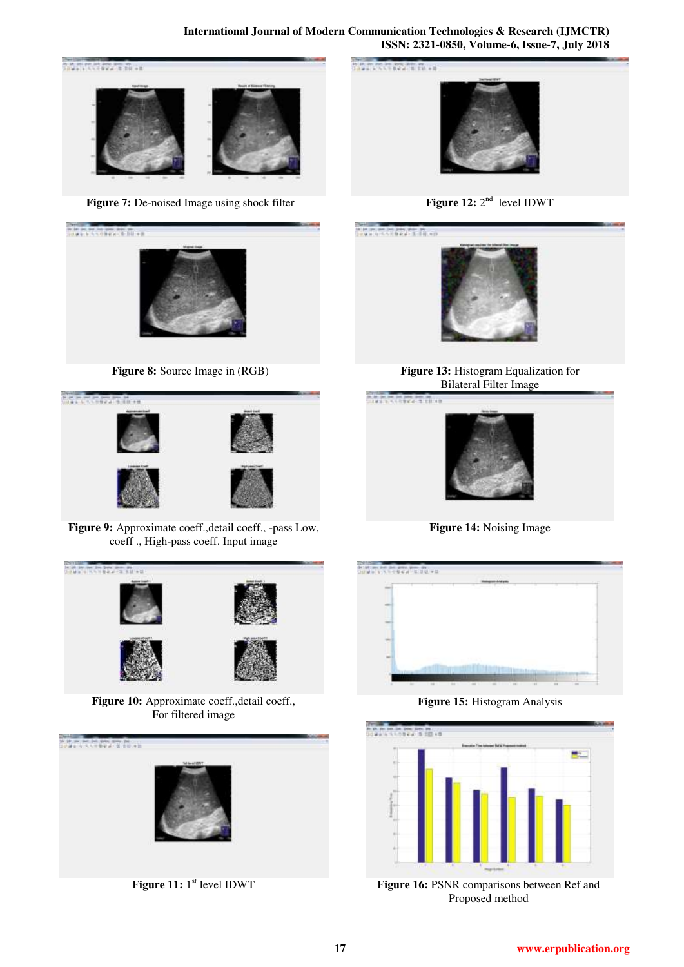

**Figure 7:** De-noised Image using shock filter



**Figure 8:** Source Image in (RGB)



Figure 9: Approximate coeff.,detail coeff., -pass Low, coeff ., High-pass coeff. Input image



**Figure 10:** Approximate coeff.,detail coeff., For filtered image



**Figure 11:** 1<sup>st</sup> level IDWT







**Figure 13:** Histogram Equalization for Bilateral Filter Image



**Figure 14:** Noising Image



**Figure 15:** Histogram Analysis



**Figure 16:** PSNR comparisons between Ref and Proposed method